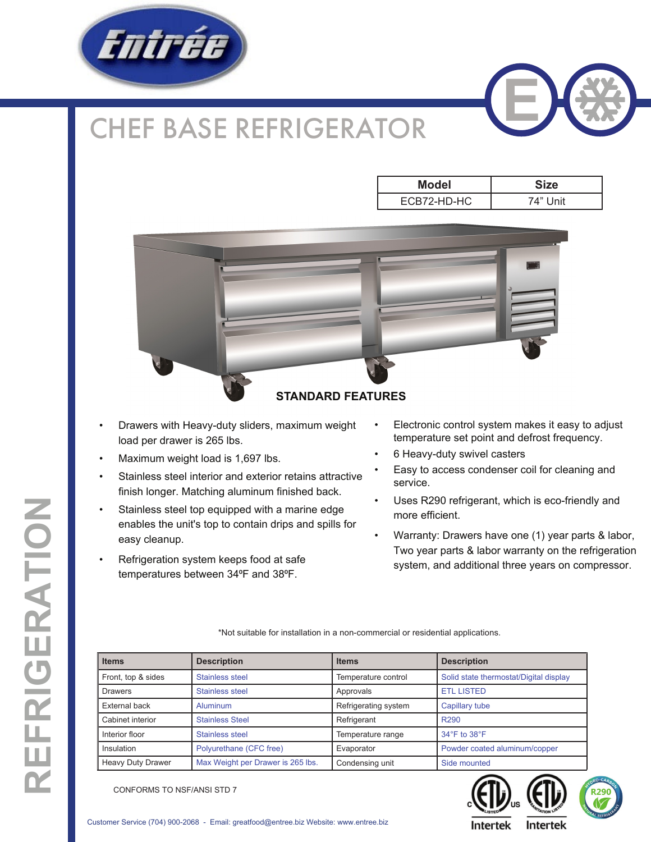

## CHEF BASE REFRIGERATOR



| Model       | <b>Size</b> |  |  |  |  |
|-------------|-------------|--|--|--|--|
| ECB72-HD-HC | 74" Unit    |  |  |  |  |



- Drawers with Heavy-duty sliders, maximum weight load per drawer is 265 lbs.
- Maximum weight load is 1,697 lbs.
- Stainless steel interior and exterior retains attractive finish longer. Matching aluminum finished back.
- Stainless steel top equipped with a marine edge enables the unit's top to contain drips and spills for easy cleanup.
- Refrigeration system keeps food at safe temperatures between 34°F and 38°F.
- Electronic control system makes it easy to adjust temperature set point and defrost frequency.
- 6 Heavy-duty swivel casters
- Easy to access condenser coil for cleaning and service.
- Uses R290 refrigerant, which is eco-friendly and more efficient.
- Warranty: Drawers have one (1) year parts & labor, Two year parts & labor warranty on the refrigeration system, and additional three years on compressor.

\*Not suitable for installation in a non-commercial or residential applications.

| <b>Items</b>             | <b>Description</b>                | <b>Items</b>         | <b>Description</b>                     |  |  |  |
|--------------------------|-----------------------------------|----------------------|----------------------------------------|--|--|--|
| Front, top & sides       | Stainless steel                   | Temperature control  | Solid state thermostat/Digital display |  |  |  |
| <b>Drawers</b>           | Stainless steel                   | Approvals            | <b>ETL LISTED</b>                      |  |  |  |
| External back            | Aluminum                          | Refrigerating system | Capillary tube                         |  |  |  |
| Cabinet interior         | <b>Stainless Steel</b>            | Refrigerant          | R <sub>290</sub>                       |  |  |  |
| Interior floor           | Stainless steel                   | Temperature range    | $34^\circ$ F to $38^\circ$ F           |  |  |  |
| Insulation               | Polyurethane (CFC free)           | Evaporator           | Powder coated aluminum/copper          |  |  |  |
| <b>Heavy Duty Drawer</b> | Max Weight per Drawer is 265 lbs. | Condensing unit      | Side mounted                           |  |  |  |



CONFORMS TO NSF/ANSI STD 7